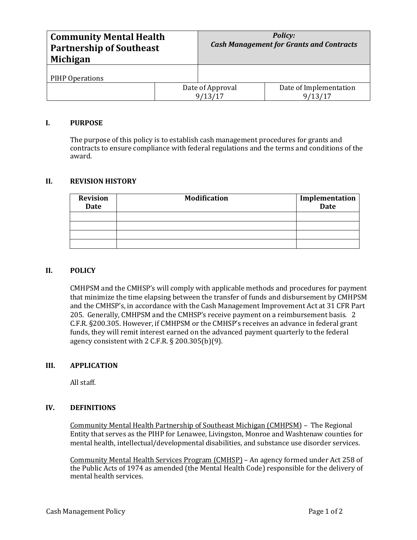| <b>Community Mental Health</b><br><b>Partnership of Southeast</b><br>Michigan |  | <b>Policy:</b><br><b>Cash Management for Grants and Contracts</b> |                                   |
|-------------------------------------------------------------------------------|--|-------------------------------------------------------------------|-----------------------------------|
| PIHP Operations                                                               |  |                                                                   |                                   |
|                                                                               |  | Date of Approval<br>9/13/17                                       | Date of Implementation<br>9/13/17 |

# **I. PURPOSE**

The purpose of this policy is to establish cash management procedures for grants and contracts to ensure compliance with federal regulations and the terms and conditions of the award.

## **II. REVISION HISTORY**

| <b>Revision</b><br><b>Date</b> | <b>Modification</b> | Implementation<br><b>Date</b> |
|--------------------------------|---------------------|-------------------------------|
|                                |                     |                               |
|                                |                     |                               |
|                                |                     |                               |
|                                |                     |                               |

## **II. POLICY**

CMHPSM and the CMHSP's will comply with applicable methods and procedures for payment that minimize the time elapsing between the transfer of funds and disbursement by CMHPSM and the CMHSP's, in accordance with the Cash Management Improvement Act at 31 CFR Part 205. Generally, CMHPSM and the CMHSP's receive payment on a reimbursement basis. 2 C.F.R. §200.305. However, if CMHPSM or the CMHSP's receives an advance in federal grant funds, they will remit interest earned on the advanced payment quarterly to the federal agency consistent with 2 C.F.R. § 200.305(b)(9).

## **III. APPLICATION**

All staff.

## **IV. DEFINITIONS**

Community Mental Health Partnership of Southeast Michigan (CMHPSM) – The Regional Entity that serves as the PIHP for Lenawee, Livingston, Monroe and Washtenaw counties for mental health, intellectual/developmental disabilities, and substance use disorder services.

Community Mental Health Services Program (CMHSP) – An agency formed under Act 258 of the Public Acts of 1974 as amended (the Mental Health Code) responsible for the delivery of mental health services.